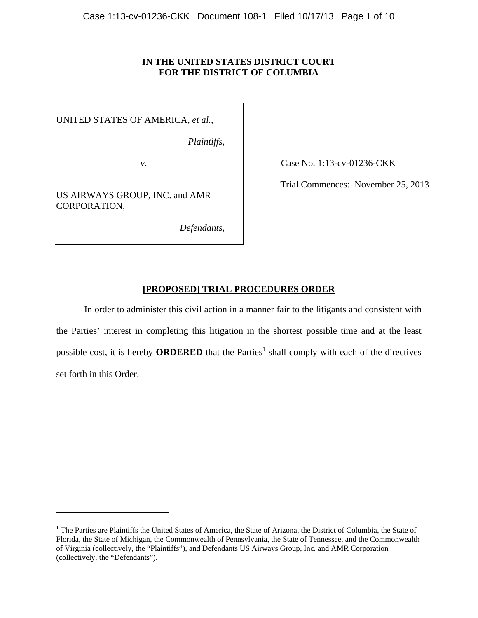# **IN THE UNITED STATES DISTRICT COURT FOR THE DISTRICT OF COLUMBIA**

UNITED STATES OF AMERICA, *et al.*,

*Plaintiffs*,

US AIRWAYS GROUP, INC. and AMR CORPORATION,

 $\overline{a}$ 

*Defendants*,

*v*. **Case No. 1:13-cv-01236-CKK** 

Trial Commences: November 25, 2013

# **[PROPOSED] TRIAL PROCEDURES ORDER**

In order to administer this civil action in a manner fair to the litigants and consistent with the Parties' interest in completing this litigation in the shortest possible time and at the least possible cost, it is hereby **ORDERED** that the Parties<sup>1</sup> shall comply with each of the directives set forth in this Order.

<sup>&</sup>lt;sup>1</sup> The Parties are Plaintiffs the United States of America, the State of Arizona, the District of Columbia, the State of Florida, the State of Michigan, the Commonwealth of Pennsylvania, the State of Tennessee, and the Commonwealth of Virginia (collectively, the "Plaintiffs"), and Defendants US Airways Group, Inc. and AMR Corporation (collectively, the "Defendants").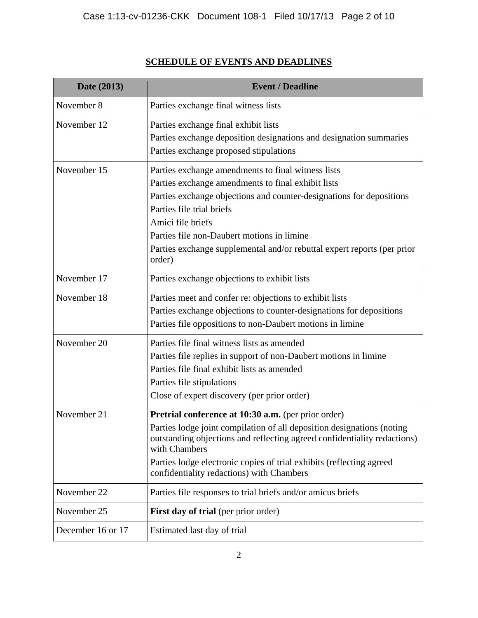# **SCHEDULE OF EVENTS AND DEADLINES**

| Date (2013)       | <b>Event / Deadline</b>                                                                                                                                                                                                                                                                                                                                               |
|-------------------|-----------------------------------------------------------------------------------------------------------------------------------------------------------------------------------------------------------------------------------------------------------------------------------------------------------------------------------------------------------------------|
| November 8        | Parties exchange final witness lists                                                                                                                                                                                                                                                                                                                                  |
| November 12       | Parties exchange final exhibit lists<br>Parties exchange deposition designations and designation summaries<br>Parties exchange proposed stipulations                                                                                                                                                                                                                  |
| November 15       | Parties exchange amendments to final witness lists<br>Parties exchange amendments to final exhibit lists<br>Parties exchange objections and counter-designations for depositions<br>Parties file trial briefs<br>Amici file briefs<br>Parties file non-Daubert motions in limine<br>Parties exchange supplemental and/or rebuttal expert reports (per prior<br>order) |
| November 17       | Parties exchange objections to exhibit lists                                                                                                                                                                                                                                                                                                                          |
| November 18       | Parties meet and confer re: objections to exhibit lists<br>Parties exchange objections to counter-designations for depositions<br>Parties file oppositions to non-Daubert motions in limine                                                                                                                                                                           |
| November 20       | Parties file final witness lists as amended<br>Parties file replies in support of non-Daubert motions in limine<br>Parties file final exhibit lists as amended<br>Parties file stipulations<br>Close of expert discovery (per prior order)                                                                                                                            |
| November 21       | Pretrial conference at 10:30 a.m. (per prior order)<br>Parties lodge joint compilation of all deposition designations (noting<br>outstanding objections and reflecting agreed confidentiality redactions)<br>with Chambers<br>Parties lodge electronic copies of trial exhibits (reflecting agreed<br>confidentiality redactions) with Chambers                       |
| November 22       | Parties file responses to trial briefs and/or amicus briefs                                                                                                                                                                                                                                                                                                           |
| November 25       | First day of trial (per prior order)                                                                                                                                                                                                                                                                                                                                  |
| December 16 or 17 | Estimated last day of trial                                                                                                                                                                                                                                                                                                                                           |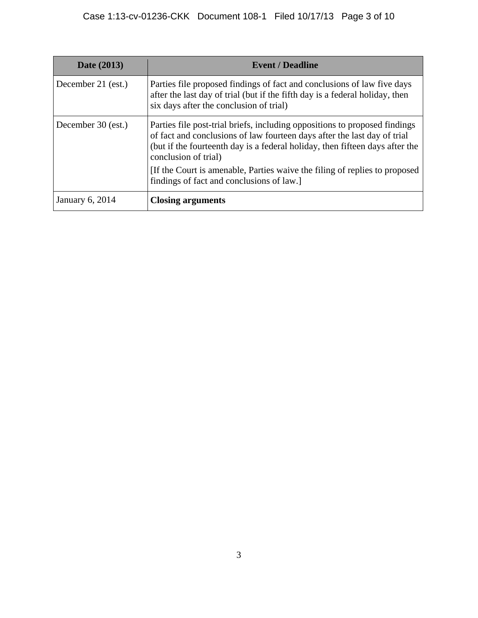| Date (2013)        | <b>Event / Deadline</b>                                                                                                                                                                                                                                                                                                                      |
|--------------------|----------------------------------------------------------------------------------------------------------------------------------------------------------------------------------------------------------------------------------------------------------------------------------------------------------------------------------------------|
| December 21 (est.) | Parties file proposed findings of fact and conclusions of law five days<br>after the last day of trial (but if the fifth day is a federal holiday, then<br>six days after the conclusion of trial)                                                                                                                                           |
| December 30 (est.) | Parties file post-trial briefs, including oppositions to proposed findings<br>of fact and conclusions of law fourteen days after the last day of trial<br>(but if the fourteenth day is a federal holiday, then fifteen days after the<br>conclusion of trial)<br>[If the Court is amenable, Parties waive the filing of replies to proposed |
|                    | findings of fact and conclusions of law.                                                                                                                                                                                                                                                                                                     |
| January 6, 2014    | <b>Closing arguments</b>                                                                                                                                                                                                                                                                                                                     |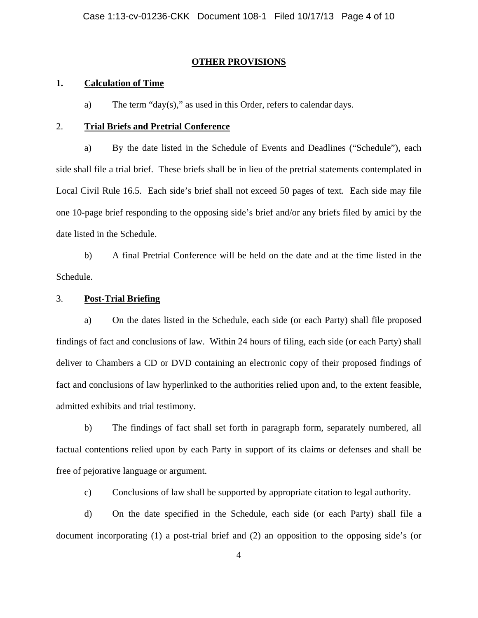#### **OTHER PROVISIONS**

#### **1. Calculation of Time**

a) The term "day(s)," as used in this Order, refers to calendar days.

#### 2. **Trial Briefs and Pretrial Conference**

a) By the date listed in the Schedule of Events and Deadlines ("Schedule"), each side shall file a trial brief. These briefs shall be in lieu of the pretrial statements contemplated in Local Civil Rule 16.5. Each side's brief shall not exceed 50 pages of text. Each side may file one 10-page brief responding to the opposing side's brief and/or any briefs filed by amici by the date listed in the Schedule.

b) A final Pretrial Conference will be held on the date and at the time listed in the Schedule.

# 3. **Post-Trial Briefing**

a) On the dates listed in the Schedule, each side (or each Party) shall file proposed findings of fact and conclusions of law. Within 24 hours of filing, each side (or each Party) shall deliver to Chambers a CD or DVD containing an electronic copy of their proposed findings of fact and conclusions of law hyperlinked to the authorities relied upon and, to the extent feasible, admitted exhibits and trial testimony.

b) The findings of fact shall set forth in paragraph form, separately numbered, all factual contentions relied upon by each Party in support of its claims or defenses and shall be free of pejorative language or argument.

c) Conclusions of law shall be supported by appropriate citation to legal authority.

d) On the date specified in the Schedule, each side (or each Party) shall file a document incorporating (1) a post-trial brief and (2) an opposition to the opposing side's (or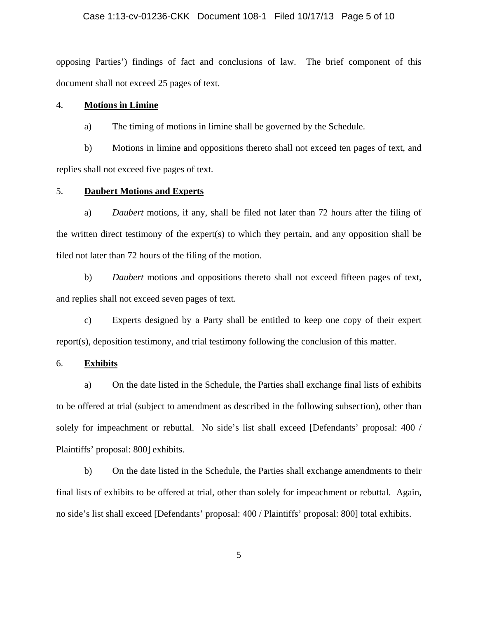# Case 1:13-cv-01236-CKK Document 108-1 Filed 10/17/13 Page 5 of 10

opposing Parties') findings of fact and conclusions of law. The brief component of this document shall not exceed 25 pages of text.

#### 4. **Motions in Limine**

a) The timing of motions in limine shall be governed by the Schedule.

b) Motions in limine and oppositions thereto shall not exceed ten pages of text, and replies shall not exceed five pages of text.

### 5. **Daubert Motions and Experts**

a) *Daubert* motions, if any, shall be filed not later than 72 hours after the filing of the written direct testimony of the expert(s) to which they pertain, and any opposition shall be filed not later than 72 hours of the filing of the motion.

b) *Daubert* motions and oppositions thereto shall not exceed fifteen pages of text, and replies shall not exceed seven pages of text.

c) Experts designed by a Party shall be entitled to keep one copy of their expert report(s), deposition testimony, and trial testimony following the conclusion of this matter.

### 6. **Exhibits**

a) On the date listed in the Schedule, the Parties shall exchange final lists of exhibits to be offered at trial (subject to amendment as described in the following subsection), other than solely for impeachment or rebuttal. No side's list shall exceed [Defendants' proposal: 400 / Plaintiffs' proposal: 800] exhibits.

b) On the date listed in the Schedule, the Parties shall exchange amendments to their final lists of exhibits to be offered at trial, other than solely for impeachment or rebuttal. Again, no side's list shall exceed [Defendants' proposal: 400 / Plaintiffs' proposal: 800] total exhibits.

5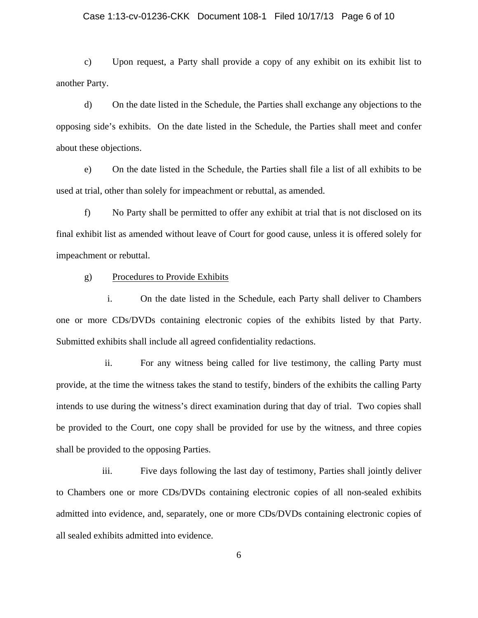#### Case 1:13-cv-01236-CKK Document 108-1 Filed 10/17/13 Page 6 of 10

c) Upon request, a Party shall provide a copy of any exhibit on its exhibit list to another Party.

d) On the date listed in the Schedule, the Parties shall exchange any objections to the opposing side's exhibits. On the date listed in the Schedule, the Parties shall meet and confer about these objections.

e) On the date listed in the Schedule, the Parties shall file a list of all exhibits to be used at trial, other than solely for impeachment or rebuttal, as amended.

f) No Party shall be permitted to offer any exhibit at trial that is not disclosed on its final exhibit list as amended without leave of Court for good cause, unless it is offered solely for impeachment or rebuttal.

#### g) Procedures to Provide Exhibits

i. On the date listed in the Schedule, each Party shall deliver to Chambers one or more CDs/DVDs containing electronic copies of the exhibits listed by that Party. Submitted exhibits shall include all agreed confidentiality redactions.

ii. For any witness being called for live testimony, the calling Party must provide, at the time the witness takes the stand to testify, binders of the exhibits the calling Party intends to use during the witness's direct examination during that day of trial. Two copies shall be provided to the Court, one copy shall be provided for use by the witness, and three copies shall be provided to the opposing Parties.

iii. Five days following the last day of testimony, Parties shall jointly deliver to Chambers one or more CDs/DVDs containing electronic copies of all non-sealed exhibits admitted into evidence, and, separately, one or more CDs/DVDs containing electronic copies of all sealed exhibits admitted into evidence.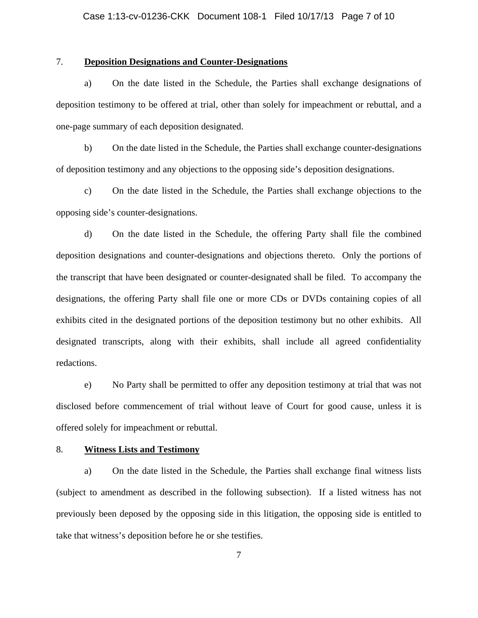# 7. **Deposition Designations and Counter-Designations**

a) On the date listed in the Schedule, the Parties shall exchange designations of deposition testimony to be offered at trial, other than solely for impeachment or rebuttal, and a one-page summary of each deposition designated.

b) On the date listed in the Schedule, the Parties shall exchange counter-designations of deposition testimony and any objections to the opposing side's deposition designations.

c) On the date listed in the Schedule, the Parties shall exchange objections to the opposing side's counter-designations.

d) On the date listed in the Schedule, the offering Party shall file the combined deposition designations and counter-designations and objections thereto. Only the portions of the transcript that have been designated or counter-designated shall be filed. To accompany the designations, the offering Party shall file one or more CDs or DVDs containing copies of all exhibits cited in the designated portions of the deposition testimony but no other exhibits. All designated transcripts, along with their exhibits, shall include all agreed confidentiality redactions.

e) No Party shall be permitted to offer any deposition testimony at trial that was not disclosed before commencement of trial without leave of Court for good cause, unless it is offered solely for impeachment or rebuttal.

#### 8. **Witness Lists and Testimony**

a) On the date listed in the Schedule, the Parties shall exchange final witness lists (subject to amendment as described in the following subsection). If a listed witness has not previously been deposed by the opposing side in this litigation, the opposing side is entitled to take that witness's deposition before he or she testifies.

7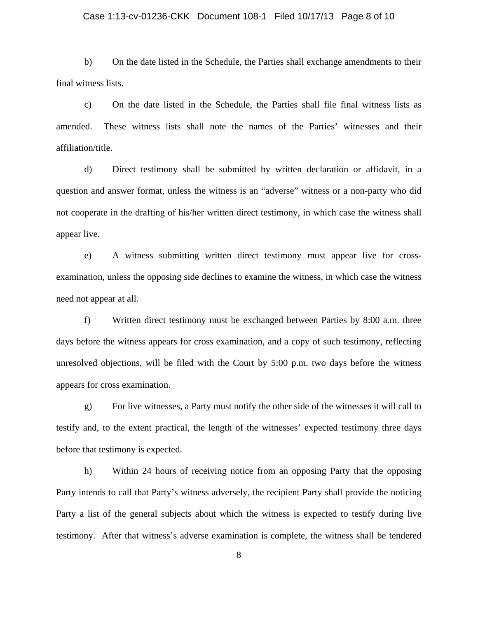#### Case 1:13-cv-01236-CKK Document 108-1 Filed 10/17/13 Page 8 of 10

b) On the date listed in the Schedule, the Parties shall exchange amendments to their final witness lists.

c) On the date listed in the Schedule, the Parties shall file final witness lists as amended. These witness lists shall note the names of the Parties' witnesses and their affiliation/title.

d) Direct testimony shall be submitted by written declaration or affidavit, in a question and answer format, unless the witness is an "adverse" witness or a non-party who did not cooperate in the drafting of his/her written direct testimony, in which case the witness shall appear live.

e) A witness submitting written direct testimony must appear live for crossexamination, unless the opposing side declines to examine the witness, in which case the witness need not appear at all.

f) Written direct testimony must be exchanged between Parties by 8:00 a.m. three days before the witness appears for cross examination, and a copy of such testimony, reflecting unresolved objections, will be filed with the Court by 5:00 p.m. two days before the witness appears for cross examination.

g) For live witnesses, a Party must notify the other side of the witnesses it will call to testify and, to the extent practical, the length of the witnesses' expected testimony three days before that testimony is expected.

h) Within 24 hours of receiving notice from an opposing Party that the opposing Party intends to call that Party's witness adversely, the recipient Party shall provide the noticing Party a list of the general subjects about which the witness is expected to testify during live testimony. After that witness's adverse examination is complete, the witness shall be tendered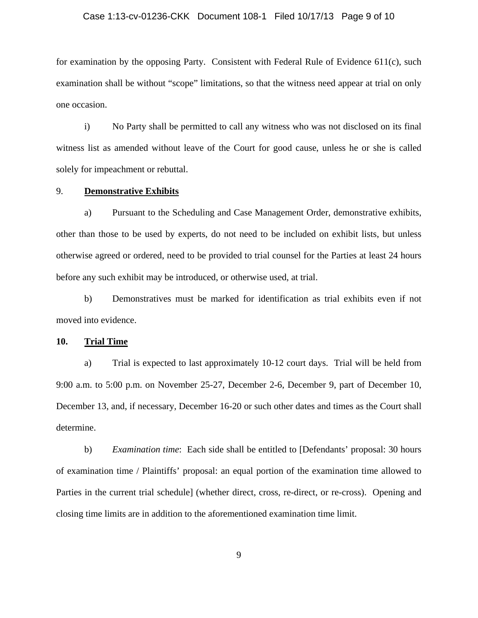# Case 1:13-cv-01236-CKK Document 108-1 Filed 10/17/13 Page 9 of 10

for examination by the opposing Party. Consistent with Federal Rule of Evidence 611(c), such examination shall be without "scope" limitations, so that the witness need appear at trial on only one occasion.

i) No Party shall be permitted to call any witness who was not disclosed on its final witness list as amended without leave of the Court for good cause, unless he or she is called solely for impeachment or rebuttal.

#### 9. **Demonstrative Exhibits**

a) Pursuant to the Scheduling and Case Management Order, demonstrative exhibits, other than those to be used by experts, do not need to be included on exhibit lists, but unless otherwise agreed or ordered, need to be provided to trial counsel for the Parties at least 24 hours before any such exhibit may be introduced, or otherwise used, at trial.

b) Demonstratives must be marked for identification as trial exhibits even if not moved into evidence.

#### **10. Trial Time**

a) Trial is expected to last approximately 10-12 court days. Trial will be held from 9:00 a.m. to 5:00 p.m. on November 25-27, December 2-6, December 9, part of December 10, December 13, and, if necessary, December 16-20 or such other dates and times as the Court shall determine.

b) *Examination time*: Each side shall be entitled to [Defendants' proposal: 30 hours of examination time / Plaintiffs' proposal: an equal portion of the examination time allowed to Parties in the current trial schedule] (whether direct, cross, re-direct, or re-cross). Opening and closing time limits are in addition to the aforementioned examination time limit.

9